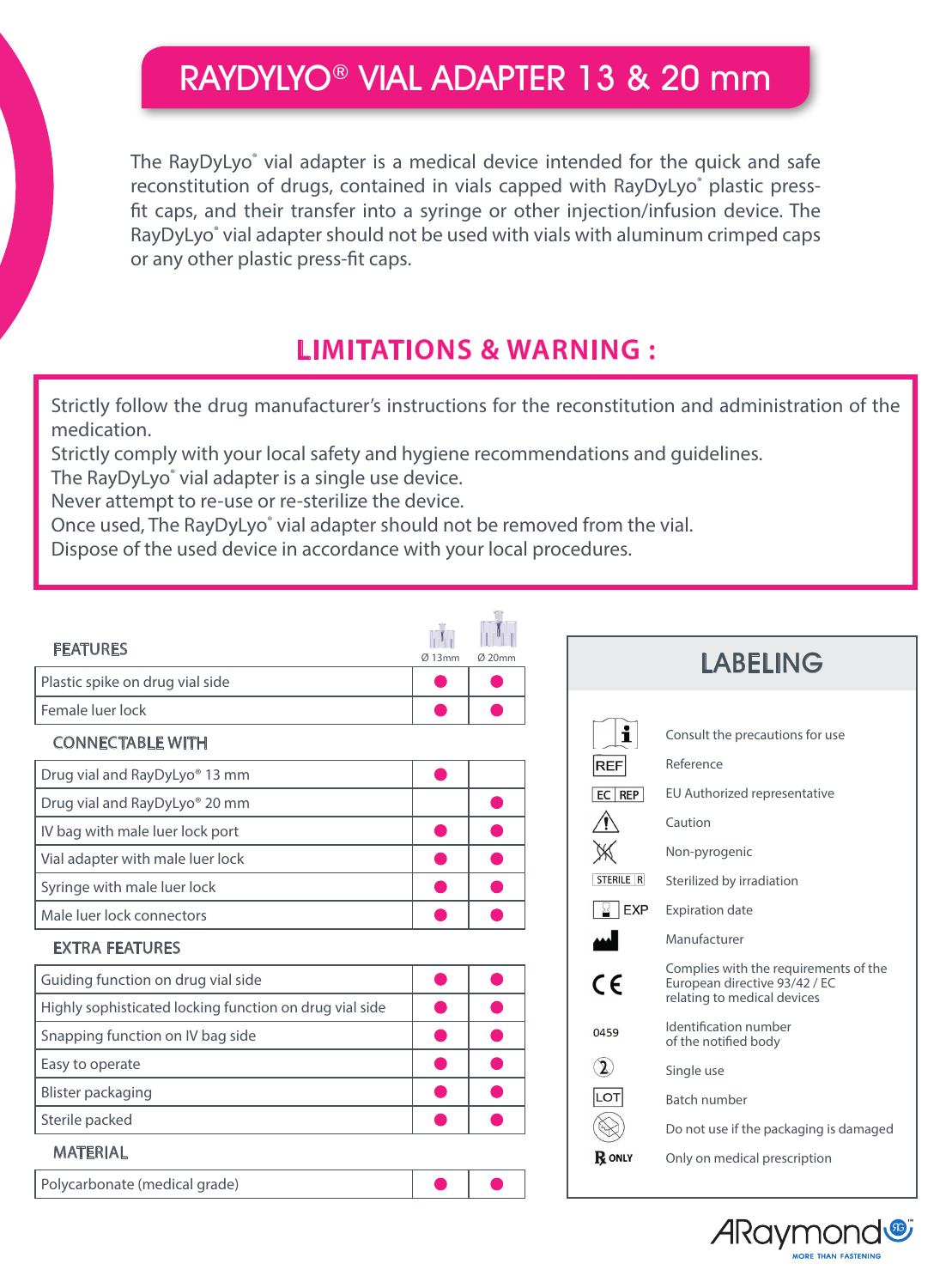# RAYDYLYO® VIAL ADAPTER 13 & 20 mm

The RayDyLyo<sup>®</sup> vial adapter is a medical device intended for the quick and safe reconstitution of drugs, contained in vials capped with RayDyLyo® plastic pressfit caps, and their transfer into a syringe or other injection/infusion device. The RayDyLyo<sup>®</sup> vial adapter should not be used with vials with aluminum crimped caps or any other plastic press-fit caps.

### **LIMITATIONS & WARNING :**

Strictly follow the drug manufacturer's instructions for the reconstitution and administration of the medication.

Strictly comply with your local safety and hygiene recommendations and guidelines.

The RayDyLyo® vial adapter is a single use device.

Never attempt to re-use or re-sterilize the device.

Once used, The RayDyLyo<sup>®</sup> vial adapter should not be removed from the vial.

Dispose of the used device in accordance with your local procedures.

| <b>FEATURES</b>                                                                             | Ø13mm | $Ø$ 20mm |                   | <b>LABELING</b>                                                                                       |
|---------------------------------------------------------------------------------------------|-------|----------|-------------------|-------------------------------------------------------------------------------------------------------|
| Plastic spike on drug vial side                                                             |       |          |                   |                                                                                                       |
| Female luer lock                                                                            |       |          |                   |                                                                                                       |
| <b>CONNECTABLE WITH</b>                                                                     |       |          | i                 | Consult the precautions for use                                                                       |
| Drug vial and RayDyLyo® 13 mm                                                               |       |          | <b>REF</b>        | Reference                                                                                             |
| Drug vial and RayDyLyo® 20 mm                                                               |       |          | $EC$ REP          | EU Authorized representative                                                                          |
| IV bag with male luer lock port                                                             |       |          | ⁄≬∖               | Caution                                                                                               |
| Vial adapter with male luer lock                                                            |       |          | $\mathbb X$       | Non-pyrogenic                                                                                         |
| Syringe with male luer lock                                                                 |       |          | STERILE R         | Sterilized by irradiation                                                                             |
| Male luer lock connectors                                                                   |       |          | $\frac{1}{2}$ EXP | <b>Expiration date</b>                                                                                |
| <b>EXTRA FEATURES</b>                                                                       |       |          |                   | Manufacturer                                                                                          |
| Guiding function on drug vial side                                                          |       |          | $\epsilon$        | Complies with the requirements of the<br>European directive 93/42 / EC<br>relating to medical devices |
| Highly sophisticated locking function on drug vial side<br>Snapping function on IV bag side |       |          | 0459              | Identification number<br>of the notified body                                                         |
| Easy to operate                                                                             |       |          | $\mathbf{Z}$      | Single use                                                                                            |
| Blister packaging                                                                           |       |          | LOT               | <b>Batch number</b>                                                                                   |
| Sterile packed                                                                              |       |          | $\bigotimes$      | Do not use if the packaging is damaged                                                                |
| <b>MATERIAL</b>                                                                             |       |          | <b>R</b> ONLY     | Only on medical prescription                                                                          |
| Polycarbonate (medical grade)                                                               |       |          |                   |                                                                                                       |